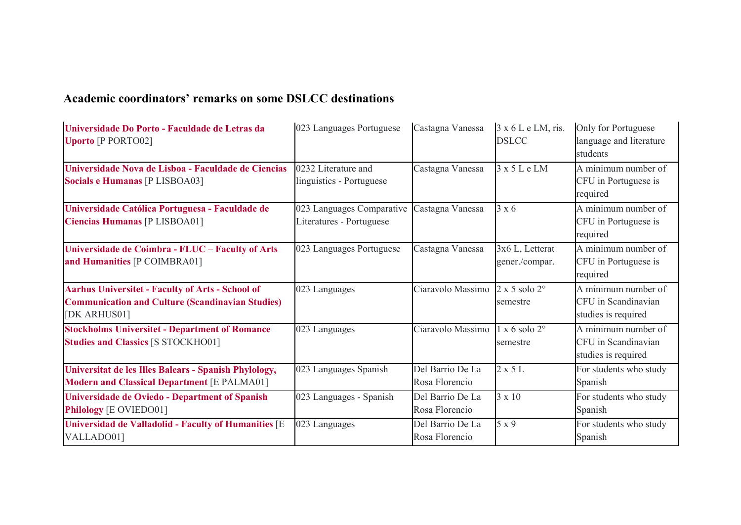## **Academic coordinators' remarks on some DSLCC destinations**

| Universidade Do Porto - Faculdade de Letras da<br><b>Uporto</b> [P PORTO02]                                                        | 023 Languages Portuguese                              | Castagna Vanessa                   | 3 x 6 L e LM, ris.<br><b>DSLCC</b>        | Only for Portuguese<br>language and literature<br>students        |
|------------------------------------------------------------------------------------------------------------------------------------|-------------------------------------------------------|------------------------------------|-------------------------------------------|-------------------------------------------------------------------|
| Universidade Nova de Lisboa - Faculdade de Ciencias<br>Socials e Humanas [P LISBOA03]                                              | 0232 Literature and<br>linguistics - Portuguese       | Castagna Vanessa                   | $3 \times 5$ L e LM                       | A minimum number of<br>CFU in Portuguese is<br>required           |
| Universidade Católica Portuguesa - Faculdade de<br><b>Ciencias Humanas [P LISBOA01]</b>                                            | 023 Languages Comparative<br>Literatures - Portuguese | Castagna Vanessa                   | $3 \times 6$                              | A minimum number of<br>CFU in Portuguese is<br>required           |
| Universidade de Coimbra - FLUC - Faculty of Arts<br>and Humanities [P COIMBRA01]                                                   | 023 Languages Portuguese                              | Castagna Vanessa                   | 3x6 L, Letterat<br>gener./compar.         | A minimum number of<br>CFU in Portuguese is<br>required           |
| <b>Aarhus Universitet - Faculty of Arts - School of</b><br><b>Communication and Culture (Scandinavian Studies)</b><br>[DK ARHUS01] | 023 Languages                                         | Ciaravolo Massimo                  | $2 \times 5$ solo $2^{\circ}$<br>semestre | A minimum number of<br>CFU in Scandinavian<br>studies is required |
| <b>Stockholms Universitet - Department of Romance</b><br><b>Studies and Classics [S STOCKHO01]</b>                                 | 023 Languages                                         | Ciaravolo Massimo                  | $1 \times 6$ solo $2^{\circ}$<br>semestre | A minimum number of<br>CFU in Scandinavian<br>studies is required |
| Universitat de les Illes Balears - Spanish Phylology,<br><b>Modern and Classical Department [E PALMA01]</b>                        | 023 Languages Spanish                                 | Del Barrio De La<br>Rosa Florencio | $2 \times 5$ L                            | For students who study<br>Spanish                                 |
| Universidade de Oviedo - Department of Spanish<br>Philology [E OVIEDO01]                                                           | 023 Languages - Spanish                               | Del Barrio De La<br>Rosa Florencio | $3 \times 10$                             | For students who study<br>Spanish                                 |
| <b>Universidad de Valladolid - Faculty of Humanities [E</b><br>VALLADO01]                                                          | 023 Languages                                         | Del Barrio De La<br>Rosa Florencio | 5 x 9                                     | For students who study<br>Spanish                                 |